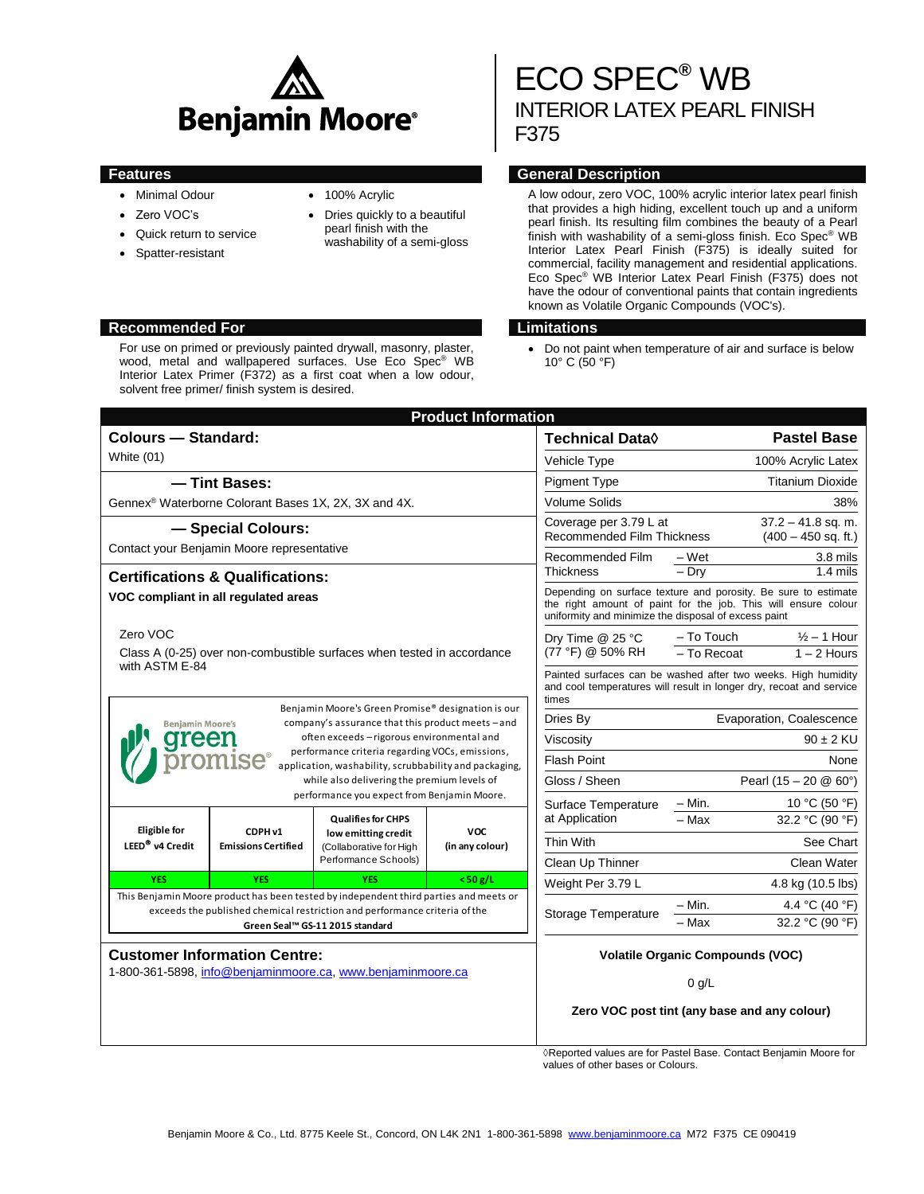

- Minimal Odour
- Zero VOC's
- Quick return to service
- Spatter-resistant
- 100% Acrylic
- Dries quickly to a beautiful pearl finish with the washability of a semi-gloss

#### **Recommended For Limitations**

For use on primed or previously painted drywall, masonry, plaster, wood, metal and wallpapered surfaces. Use Eco Spec® WB Interior Latex Primer (F372) as a first coat when a low odour, solvent free primer/ finish system is desired.

# ECO SPEC**®** WB INTERIOR LATEX PEARL FINISH F375

# **Features General Description**

A low odour, zero VOC, 100% acrylic interior latex pearl finish that provides a high hiding, excellent touch up and a uniform pearl finish. Its resulting film combines the beauty of a Pearl finish with washability of a semi-gloss finish. Eco Spec® WB Interior Latex Pearl Finish (F375) is ideally suited for commercial, facility management and residential applications. Eco Spec® WB Interior Latex Pearl Finish (F375) does not have the odour of conventional paints that contain ingredients known as Volatile Organic Compounds (VOC's).

 Do not paint when temperature of air and surface is below 10° C (50 °F)

|                                                                                                                                                                                                                                                                                                                                                                                                                     |                                             |                                                                                                                                                                     | <b>Product Information</b>    |                                                                                                                                                                                          |                          |                                 |
|---------------------------------------------------------------------------------------------------------------------------------------------------------------------------------------------------------------------------------------------------------------------------------------------------------------------------------------------------------------------------------------------------------------------|---------------------------------------------|---------------------------------------------------------------------------------------------------------------------------------------------------------------------|-------------------------------|------------------------------------------------------------------------------------------------------------------------------------------------------------------------------------------|--------------------------|---------------------------------|
| <b>Colours - Standard:</b>                                                                                                                                                                                                                                                                                                                                                                                          |                                             |                                                                                                                                                                     | Technical Data $\Diamond$     | <b>Pastel Base</b>                                                                                                                                                                       |                          |                                 |
| White (01)                                                                                                                                                                                                                                                                                                                                                                                                          |                                             |                                                                                                                                                                     |                               | Vehicle Type<br>100% Acrylic Latex                                                                                                                                                       |                          |                                 |
| - Tint Bases:                                                                                                                                                                                                                                                                                                                                                                                                       |                                             |                                                                                                                                                                     |                               | <b>Pigment Type</b>                                                                                                                                                                      | <b>Titanium Dioxide</b>  |                                 |
| Gennex <sup>®</sup> Waterborne Colorant Bases 1X, 2X, 3X and 4X.                                                                                                                                                                                                                                                                                                                                                    |                                             |                                                                                                                                                                     |                               | <b>Volume Solids</b><br>38%                                                                                                                                                              |                          |                                 |
| - Special Colours:                                                                                                                                                                                                                                                                                                                                                                                                  |                                             |                                                                                                                                                                     |                               | $37.2 - 41.8$ sq. m.<br>Coverage per 3.79 L at<br><b>Recommended Film Thickness</b><br>$(400 - 450$ sq. ft.)                                                                             |                          |                                 |
| Contact your Benjamin Moore representative                                                                                                                                                                                                                                                                                                                                                                          |                                             |                                                                                                                                                                     |                               | Recommended Film<br>3.8 mils<br>– Wet                                                                                                                                                    |                          |                                 |
|                                                                                                                                                                                                                                                                                                                                                                                                                     | <b>Certifications &amp; Qualifications:</b> |                                                                                                                                                                     |                               |                                                                                                                                                                                          | $-$ Drv                  | $1.4 \text{ miles}$             |
| VOC compliant in all regulated areas                                                                                                                                                                                                                                                                                                                                                                                |                                             |                                                                                                                                                                     |                               | Depending on surface texture and porosity. Be sure to estimate<br>the right amount of paint for the job. This will ensure colour<br>uniformity and minimize the disposal of excess paint |                          |                                 |
| Zero VOC<br>Class A (0-25) over non-combustible surfaces when tested in accordance                                                                                                                                                                                                                                                                                                                                  |                                             |                                                                                                                                                                     | Dry Time @ 25 °C              | - To Touch                                                                                                                                                                               | $\frac{1}{2}$ – 1 Hour   |                                 |
|                                                                                                                                                                                                                                                                                                                                                                                                                     |                                             |                                                                                                                                                                     |                               | (77 °F) @ 50% RH                                                                                                                                                                         | - To Recoat              | $1 - 2$ Hours                   |
| with ASTM E-84<br>Benjamin Moore's Green Promise® designation is our<br>company's assurance that this product meets-and<br><b>Benjamin Moore's</b><br>often exceeds – rigorous environmental and<br>reer<br>performance criteria regarding VOCs, emissions,<br>application, washability, scrubbability and packaging,<br>while also delivering the premium levels of<br>performance you expect from Benjamin Moore. |                                             |                                                                                                                                                                     |                               | Painted surfaces can be washed after two weeks. High humidity<br>and cool temperatures will result in longer dry, recoat and service<br>times                                            |                          |                                 |
|                                                                                                                                                                                                                                                                                                                                                                                                                     |                                             |                                                                                                                                                                     |                               | Dries By                                                                                                                                                                                 | Evaporation, Coalescence |                                 |
|                                                                                                                                                                                                                                                                                                                                                                                                                     |                                             |                                                                                                                                                                     |                               | Viscosity                                                                                                                                                                                | $90 \pm 2$ KU            |                                 |
|                                                                                                                                                                                                                                                                                                                                                                                                                     |                                             |                                                                                                                                                                     |                               | <b>Flash Point</b>                                                                                                                                                                       |                          | None                            |
|                                                                                                                                                                                                                                                                                                                                                                                                                     |                                             |                                                                                                                                                                     |                               | Gloss / Sheen                                                                                                                                                                            |                          | Pearl $(15 - 20 \& 60^{\circ})$ |
|                                                                                                                                                                                                                                                                                                                                                                                                                     |                                             |                                                                                                                                                                     |                               | Surface Temperature                                                                                                                                                                      | – Min.                   | 10 °C (50 °F)                   |
|                                                                                                                                                                                                                                                                                                                                                                                                                     | CDPH v1<br><b>Emissions Certified</b>       | <b>Qualifies for CHPS</b><br>low emitting credit<br>(Collaborative for High<br>Performance Schools)                                                                 | <b>VOC</b><br>(in any colour) | at Application                                                                                                                                                                           | - Max                    | 32.2 °C (90 °F)                 |
| <b>Eligible for</b><br>LEED <sup>®</sup> v4 Credit                                                                                                                                                                                                                                                                                                                                                                  |                                             |                                                                                                                                                                     |                               | Thin With                                                                                                                                                                                |                          | See Chart                       |
|                                                                                                                                                                                                                                                                                                                                                                                                                     |                                             |                                                                                                                                                                     |                               | Clean Up Thinner                                                                                                                                                                         |                          | Clean Water                     |
| <b>YES</b>                                                                                                                                                                                                                                                                                                                                                                                                          | <b>YES</b>                                  | <b>YFS</b>                                                                                                                                                          | $<$ 50 g/L                    | Weight Per 3.79 L                                                                                                                                                                        |                          | 4.8 kg (10.5 lbs)               |
|                                                                                                                                                                                                                                                                                                                                                                                                                     |                                             | This Benjamin Moore product has been tested by independent third parties and meets or<br>exceeds the published chemical restriction and performance criteria of the | Storage Temperature           | – Min.                                                                                                                                                                                   | 4.4 °C (40 °F)           |                                 |
|                                                                                                                                                                                                                                                                                                                                                                                                                     |                                             | Green Seal™ GS-11 2015 standard                                                                                                                                     |                               | - Max                                                                                                                                                                                    | 32.2 °C (90 °F)          |                                 |
| <b>Customer Information Centre:</b><br>1-800-361-5898, info@benjaminmoore.ca, www.benjaminmoore.ca                                                                                                                                                                                                                                                                                                                  |                                             |                                                                                                                                                                     |                               | <b>Volatile Organic Compounds (VOC)</b>                                                                                                                                                  |                          |                                 |
|                                                                                                                                                                                                                                                                                                                                                                                                                     |                                             |                                                                                                                                                                     |                               | 0 g/L                                                                                                                                                                                    |                          |                                 |
|                                                                                                                                                                                                                                                                                                                                                                                                                     |                                             |                                                                                                                                                                     |                               | Zero VOC post tint (any base and any colour)                                                                                                                                             |                          |                                 |

Reported values are for Pastel Base. Contact Benjamin Moore for values of other bases or Colours.